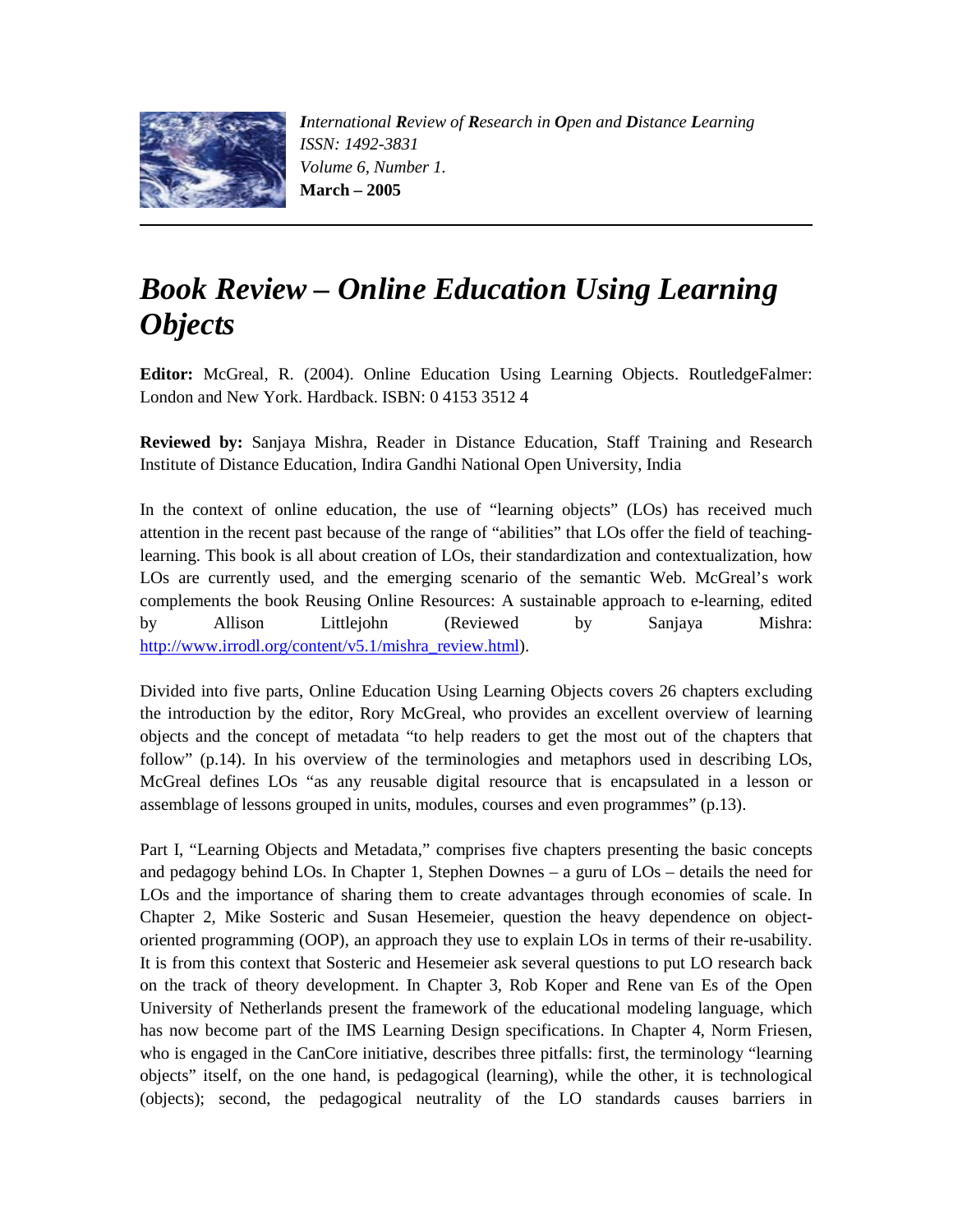

*International Review of Research in Open and Distance Learning ISSN: 1492-3831 Volume 6, Number 1.*  **March – 2005**

## *Book Review – Online Education Using Learning Objects*

**Editor:** McGreal, R. (2004). Online Education Using Learning Objects. RoutledgeFalmer: London and New York. Hardback. ISBN: 0 4153 3512 4

**Reviewed by:** Sanjaya Mishra, Reader in Distance Education, Staff Training and Research Institute of Distance Education, Indira Gandhi National Open University, India

In the context of online education, the use of "learning objects" (LOs) has received much attention in the recent past because of the range of "abilities" that LOs offer the field of teachinglearning. This book is all about creation of LOs, their standardization and contextualization, how LOs are currently used, and the emerging scenario of the semantic Web. McGreal's work complements the book Reusing Online Resources: A sustainable approach to e-learning, edited by Allison Littlejohn (Reviewed by Sanjaya Mishra: [http://www.irrodl.org/content/v5.1/mishra\\_review.html\)](http://www.irrodl.org/content/v5.1/mishra_review.html).

Divided into five parts, Online Education Using Learning Objects covers 26 chapters excluding the introduction by the editor, Rory McGreal, who provides an excellent overview of learning objects and the concept of metadata "to help readers to get the most out of the chapters that follow" (p.14). In his overview of the terminologies and metaphors used in describing LOs, McGreal defines LOs "as any reusable digital resource that is encapsulated in a lesson or assemblage of lessons grouped in units, modules, courses and even programmes" (p.13).

Part I, "Learning Objects and Metadata," comprises five chapters presenting the basic concepts and pedagogy behind LOs. In Chapter 1, Stephen Downes – a guru of LOs – details the need for LOs and the importance of sharing them to create advantages through economies of scale. In Chapter 2, Mike Sosteric and Susan Hesemeier, question the heavy dependence on objectoriented programming (OOP), an approach they use to explain LOs in terms of their re-usability. It is from this context that Sosteric and Hesemeier ask several questions to put LO research back on the track of theory development. In Chapter 3, Rob Koper and Rene van Es of the Open University of Netherlands present the framework of the educational modeling language, which has now become part of the IMS Learning Design specifications. In Chapter 4, Norm Friesen, who is engaged in the CanCore initiative, describes three pitfalls: first, the terminology "learning objects" itself, on the one hand, is pedagogical (learning), while the other, it is technological (objects); second, the pedagogical neutrality of the LO standards causes barriers in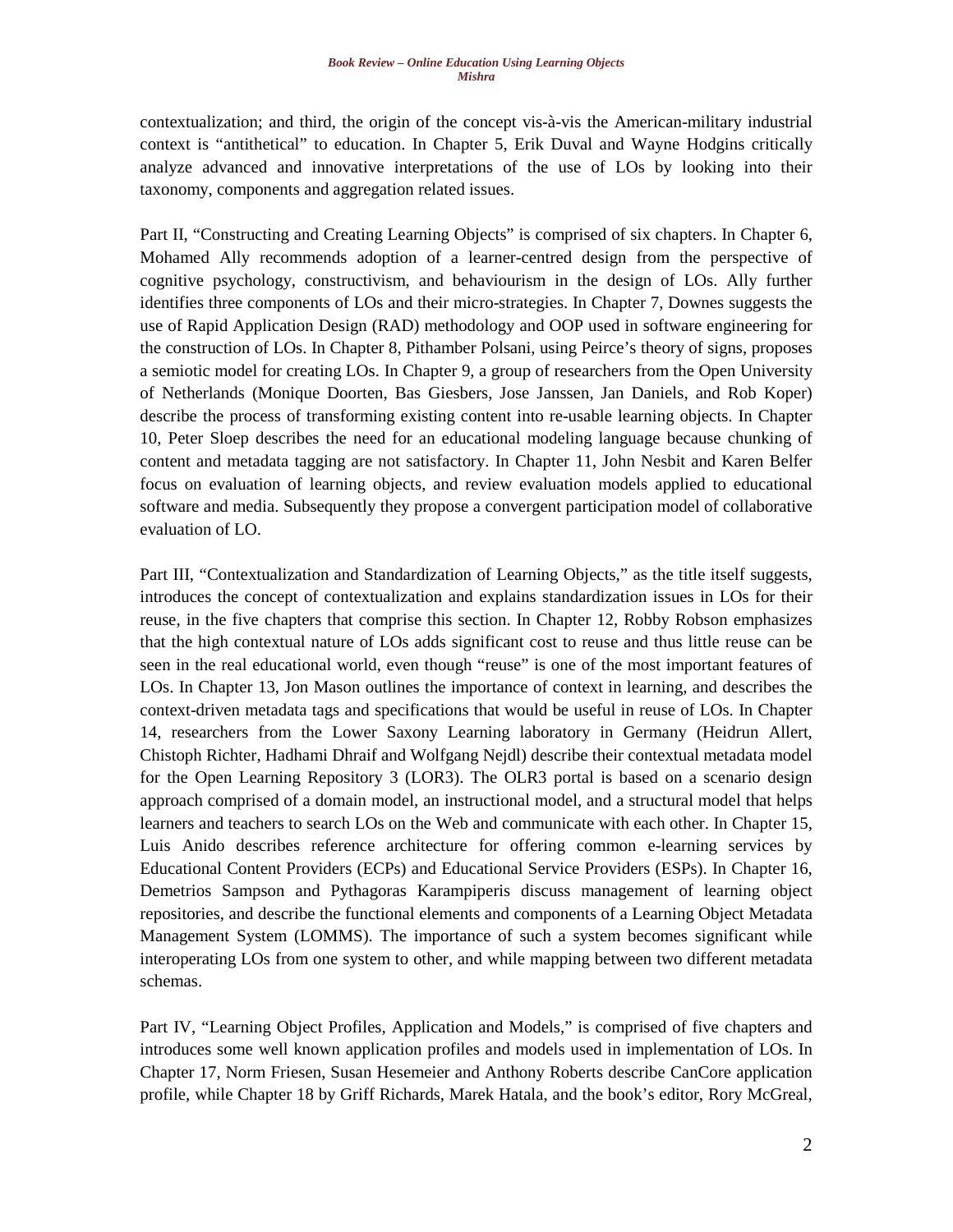contextualization; and third, the origin of the concept vis-à-vis the American-military industrial context is "antithetical" to education. In Chapter 5, Erik Duval and Wayne Hodgins critically analyze advanced and innovative interpretations of the use of LOs by looking into their taxonomy, components and aggregation related issues.

Part II, "Constructing and Creating Learning Objects" is comprised of six chapters. In Chapter 6, Mohamed Ally recommends adoption of a learner-centred design from the perspective of cognitive psychology, constructivism, and behaviourism in the design of LOs. Ally further identifies three components of LOs and their micro-strategies. In Chapter 7, Downes suggests the use of Rapid Application Design (RAD) methodology and OOP used in software engineering for the construction of LOs. In Chapter 8, Pithamber Polsani, using Peirce's theory of signs, proposes a semiotic model for creating LOs. In Chapter 9, a group of researchers from the Open University of Netherlands (Monique Doorten, Bas Giesbers, Jose Janssen, Jan Daniels, and Rob Koper) describe the process of transforming existing content into re-usable learning objects. In Chapter 10, Peter Sloep describes the need for an educational modeling language because chunking of content and metadata tagging are not satisfactory. In Chapter 11, John Nesbit and Karen Belfer focus on evaluation of learning objects, and review evaluation models applied to educational software and media. Subsequently they propose a convergent participation model of collaborative evaluation of LO.

Part III, "Contextualization and Standardization of Learning Objects," as the title itself suggests, introduces the concept of contextualization and explains standardization issues in LOs for their reuse, in the five chapters that comprise this section. In Chapter 12, Robby Robson emphasizes that the high contextual nature of LOs adds significant cost to reuse and thus little reuse can be seen in the real educational world, even though "reuse" is one of the most important features of LOs. In Chapter 13, Jon Mason outlines the importance of context in learning, and describes the context-driven metadata tags and specifications that would be useful in reuse of LOs. In Chapter 14, researchers from the Lower Saxony Learning laboratory in Germany (Heidrun Allert, Chistoph Richter, Hadhami Dhraif and Wolfgang Nejdl) describe their contextual metadata model for the Open Learning Repository 3 (LOR3). The OLR3 portal is based on a scenario design approach comprised of a domain model, an instructional model, and a structural model that helps learners and teachers to search LOs on the Web and communicate with each other. In Chapter 15, Luis Anido describes reference architecture for offering common e-learning services by Educational Content Providers (ECPs) and Educational Service Providers (ESPs). In Chapter 16, Demetrios Sampson and Pythagoras Karampiperis discuss management of learning object repositories, and describe the functional elements and components of a Learning Object Metadata Management System (LOMMS). The importance of such a system becomes significant while interoperating LOs from one system to other, and while mapping between two different metadata schemas.

Part IV, "Learning Object Profiles, Application and Models," is comprised of five chapters and introduces some well known application profiles and models used in implementation of LOs. In Chapter 17, Norm Friesen, Susan Hesemeier and Anthony Roberts describe CanCore application profile, while Chapter 18 by Griff Richards, Marek Hatala, and the book's editor, Rory McGreal,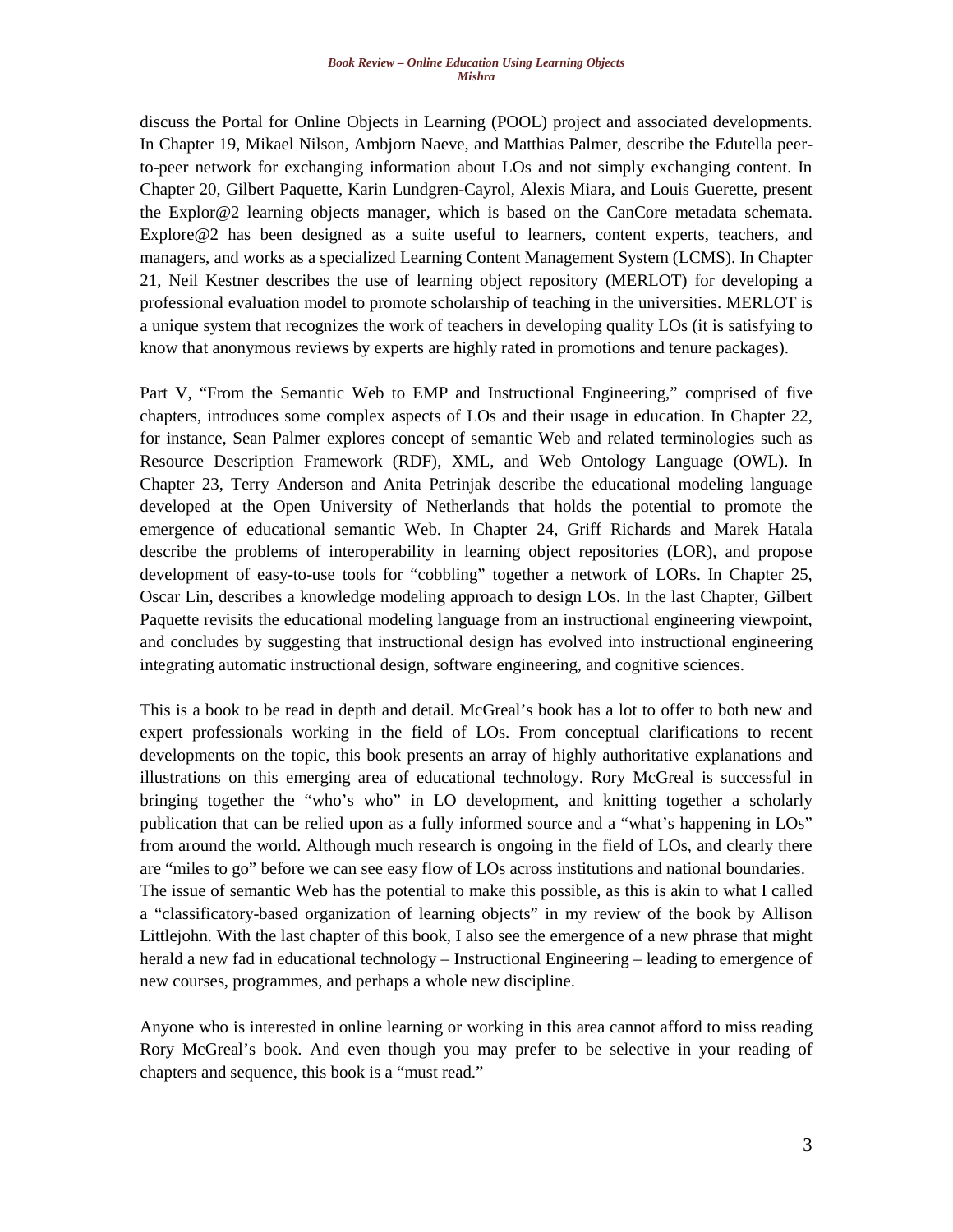## *Book Review – Online Education Using Learning Objects Mishra*

discuss the Portal for Online Objects in Learning (POOL) project and associated developments. In Chapter 19, Mikael Nilson, Ambjorn Naeve, and Matthias Palmer, describe the Edutella peerto-peer network for exchanging information about LOs and not simply exchanging content. In Chapter 20, Gilbert Paquette, Karin Lundgren-Cayrol, Alexis Miara, and Louis Guerette, present the Explor@2 learning objects manager, which is based on the CanCore metadata schemata. Explore@2 has been designed as a suite useful to learners, content experts, teachers, and managers, and works as a specialized Learning Content Management System (LCMS). In Chapter 21, Neil Kestner describes the use of learning object repository (MERLOT) for developing a professional evaluation model to promote scholarship of teaching in the universities. MERLOT is a unique system that recognizes the work of teachers in developing quality LOs (it is satisfying to know that anonymous reviews by experts are highly rated in promotions and tenure packages).

Part V, "From the Semantic Web to EMP and Instructional Engineering," comprised of five chapters, introduces some complex aspects of LOs and their usage in education. In Chapter 22, for instance, Sean Palmer explores concept of semantic Web and related terminologies such as Resource Description Framework (RDF), XML, and Web Ontology Language (OWL). In Chapter 23, Terry Anderson and Anita Petrinjak describe the educational modeling language developed at the Open University of Netherlands that holds the potential to promote the emergence of educational semantic Web. In Chapter 24, Griff Richards and Marek Hatala describe the problems of interoperability in learning object repositories (LOR), and propose development of easy-to-use tools for "cobbling" together a network of LORs. In Chapter 25, Oscar Lin, describes a knowledge modeling approach to design LOs. In the last Chapter, Gilbert Paquette revisits the educational modeling language from an instructional engineering viewpoint, and concludes by suggesting that instructional design has evolved into instructional engineering integrating automatic instructional design, software engineering, and cognitive sciences.

This is a book to be read in depth and detail. McGreal's book has a lot to offer to both new and expert professionals working in the field of LOs. From conceptual clarifications to recent developments on the topic, this book presents an array of highly authoritative explanations and illustrations on this emerging area of educational technology. Rory McGreal is successful in bringing together the "who's who" in LO development, and knitting together a scholarly publication that can be relied upon as a fully informed source and a "what's happening in LOs" from around the world. Although much research is ongoing in the field of LOs, and clearly there are "miles to go" before we can see easy flow of LOs across institutions and national boundaries. The issue of semantic Web has the potential to make this possible, as this is akin to what I called a "classificatory-based organization of learning objects" in my review of the book by Allison Littlejohn. With the last chapter of this book, I also see the emergence of a new phrase that might herald a new fad in educational technology – Instructional Engineering – leading to emergence of new courses, programmes, and perhaps a whole new discipline.

Anyone who is interested in online learning or working in this area cannot afford to miss reading Rory McGreal's book. And even though you may prefer to be selective in your reading of chapters and sequence, this book is a "must read."